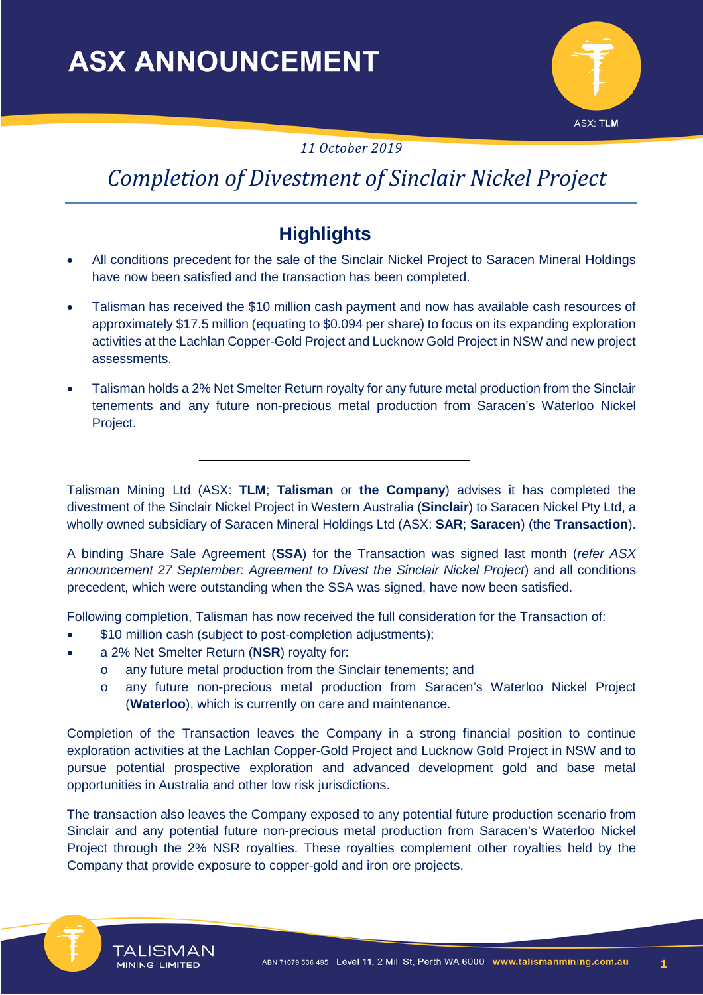

*11 October 2019*

# *Completion of Divestment of Sinclair Nickel Project*

## **Highlights**

- All conditions precedent for the sale of the Sinclair Nickel Project to Saracen Mineral Holdings have now been satisfied and the transaction has been completed.
- Talisman has received the \$10 million cash payment and now has available cash resources of approximately \$17.5 million (equating to \$0.094 per share) to focus on its expanding exploration activities at the Lachlan Copper-Gold Project and Lucknow Gold Project in NSW and new project assessments.
- Talisman holds a 2% Net Smelter Return royalty for any future metal production from the Sinclair tenements and any future non-precious metal production from Saracen's Waterloo Nickel Project.

Talisman Mining Ltd (ASX: **TLM**; **Talisman** or **the Company**) advises it has completed the divestment of the Sinclair Nickel Project in Western Australia (**Sinclair**) to Saracen Nickel Pty Ltd, a wholly owned subsidiary of Saracen Mineral Holdings Ltd (ASX: **SAR**; **Saracen**) (the **Transaction**).

A binding Share Sale Agreement (**SSA**) for the Transaction was signed last month (*refer ASX announcement 27 September: Agreement to Divest the Sinclair Nickel Project*) and all conditions precedent, which were outstanding when the SSA was signed, have now been satisfied.

Following completion, Talisman has now received the full consideration for the Transaction of:

- \$10 million cash (subject to post-completion adjustments);
- a 2% Net Smelter Return (**NSR**) royalty for:
	- o any future metal production from the Sinclair tenements; and
	- o any future non-precious metal production from Saracen's Waterloo Nickel Project (**Waterloo**), which is currently on care and maintenance.

Completion of the Transaction leaves the Company in a strong financial position to continue exploration activities at the Lachlan Copper-Gold Project and Lucknow Gold Project in NSW and to pursue potential prospective exploration and advanced development gold and base metal opportunities in Australia and other low risk jurisdictions.

The transaction also leaves the Company exposed to any potential future production scenario from Sinclair and any potential future non-precious metal production from Saracen's Waterloo Nickel Project through the 2% NSR royalties. These royalties complement other royalties held by the Company that provide exposure to copper-gold and iron ore projects.



**TALISMAN** 

MINING LIMITED

**1**